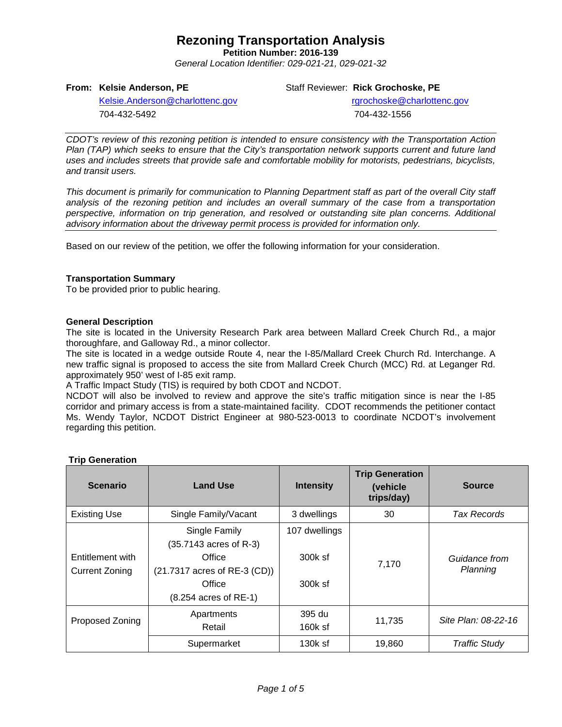**Petition Number: 2016-139**

*General Location Identifier: 029-021-21, 029-021-32*

## **From: Kelsie Anderson, PE**

Staff Reviewer: **Rick Grochoske, PE**

[Kelsie.Anderson@charlottenc.gov](mailto:Kelsie.Anderson@charlottenc.gov) 704-432-5492

rgrochoske@charlottenc.gov 704-432-1556

*CDOT's review of this rezoning petition is intended to ensure consistency with the Transportation Action Plan (TAP) which seeks to ensure that the City's transportation network supports current and future land uses and includes streets that provide safe and comfortable mobility for motorists, pedestrians, bicyclists, and transit users.*

*This document is primarily for communication to Planning Department staff as part of the overall City staff analysis of the rezoning petition and includes an overall summary of the case from a transportation perspective, information on trip generation, and resolved or outstanding site plan concerns. Additional advisory information about the driveway permit process is provided for information only.*

Based on our review of the petition, we offer the following information for your consideration.

## **Transportation Summary**

To be provided prior to public hearing.

### **General Description**

The site is located in the University Research Park area between Mallard Creek Church Rd., a major thoroughfare, and Galloway Rd., a minor collector.

The site is located in a wedge outside Route 4, near the I-85/Mallard Creek Church Rd. Interchange. A new traffic signal is proposed to access the site from Mallard Creek Church (MCC) Rd. at Leganger Rd. approximately 950' west of I-85 exit ramp.

A Traffic Impact Study (TIS) is required by both CDOT and NCDOT.

NCDOT will also be involved to review and approve the site's traffic mitigation since is near the I-85 corridor and primary access is from a state-maintained facility. CDOT recommends the petitioner contact Ms. Wendy Taylor, NCDOT District Engineer at 980-523-0013 to coordinate NCDOT's involvement regarding this petition.

| <b>Scenario</b>       | <b>Land Use</b>              | <b>Intensity</b> | <b>Trip Generation</b><br>(vehicle)<br>trips/day) | <b>Source</b>             |  |
|-----------------------|------------------------------|------------------|---------------------------------------------------|---------------------------|--|
| <b>Existing Use</b>   | Single Family/Vacant         | 3 dwellings      | 30                                                | Tax Records               |  |
|                       | Single Family                | 107 dwellings    |                                                   |                           |  |
|                       | (35.7143 acres of R-3)       |                  |                                                   |                           |  |
| Entitlement with      | Office                       | $300k$ sf        | 7,170                                             | Guidance from<br>Planning |  |
| <b>Current Zoning</b> | (21.7317 acres of RE-3 (CD)) |                  |                                                   |                           |  |
|                       | Office                       | 300k sf          |                                                   |                           |  |
|                       | (8.254 acres of RE-1)        |                  |                                                   |                           |  |
| Proposed Zoning       | Apartments                   | 395 du           | 11,735                                            | Site Plan: 08-22-16       |  |
|                       | Retail                       | $160k$ sf        |                                                   |                           |  |
|                       | Supermarket                  | $130k$ sf        | 19,860                                            | <b>Traffic Study</b>      |  |

### **Trip Generation**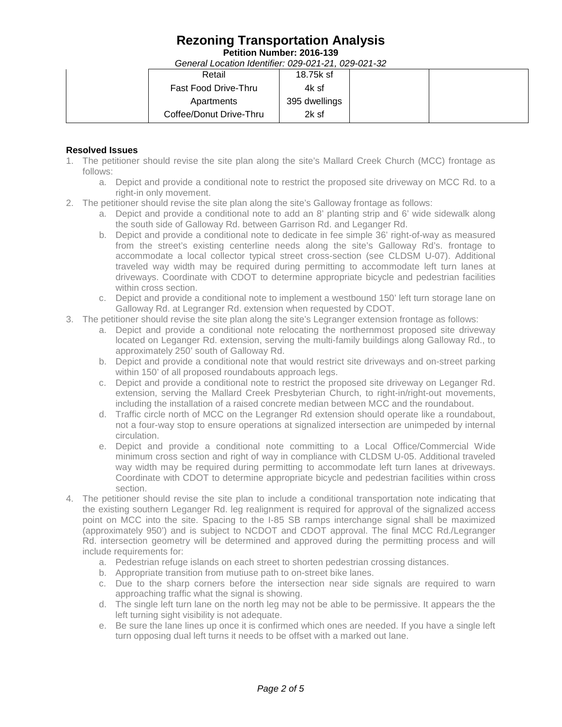**Petition Number: 2016-139**

*General Location Identifier: 029-021-21, 029-021-32*

|  | Retail                      | 18.75k sf     |  |  |  |  |
|--|-----------------------------|---------------|--|--|--|--|
|  | <b>Fast Food Drive-Thru</b> | 4k sf         |  |  |  |  |
|  | Apartments                  | 395 dwellings |  |  |  |  |
|  | Coffee/Donut Drive-Thru     | 2k sf         |  |  |  |  |

## **Resolved Issues**

- 1. The petitioner should revise the site plan along the site's Mallard Creek Church (MCC) frontage as follows:
	- a. Depict and provide a conditional note to restrict the proposed site driveway on MCC Rd. to a right-in only movement.
- 2. The petitioner should revise the site plan along the site's Galloway frontage as follows:
	- a. Depict and provide a conditional note to add an 8' planting strip and 6' wide sidewalk along the south side of Galloway Rd. between Garrison Rd. and Leganger Rd.
	- b. Depict and provide a conditional note to dedicate in fee simple 36' right-of-way as measured from the street's existing centerline needs along the site's Galloway Rd's. frontage to accommodate a local collector typical street cross-section (see CLDSM U-07). Additional traveled way width may be required during permitting to accommodate left turn lanes at driveways. Coordinate with CDOT to determine appropriate bicycle and pedestrian facilities within cross section.
	- c. Depict and provide a conditional note to implement a westbound 150' left turn storage lane on Galloway Rd. at Legranger Rd. extension when requested by CDOT.
- 3. The petitioner should revise the site plan along the site's Legranger extension frontage as follows:
	- a. Depict and provide a conditional note relocating the northernmost proposed site driveway located on Leganger Rd. extension, serving the multi-family buildings along Galloway Rd., to approximately 250' south of Galloway Rd.
	- b. Depict and provide a conditional note that would restrict site driveways and on-street parking within 150' of all proposed roundabouts approach legs.
	- c. Depict and provide a conditional note to restrict the proposed site driveway on Leganger Rd. extension, serving the Mallard Creek Presbyterian Church, to right-in/right-out movements, including the installation of a raised concrete median between MCC and the roundabout.
	- d. Traffic circle north of MCC on the Legranger Rd extension should operate like a roundabout, not a four-way stop to ensure operations at signalized intersection are unimpeded by internal circulation.
	- e. Depict and provide a conditional note committing to a Local Office/Commercial Wide minimum cross section and right of way in compliance with CLDSM U-05. Additional traveled way width may be required during permitting to accommodate left turn lanes at driveways. Coordinate with CDOT to determine appropriate bicycle and pedestrian facilities within cross section.
- 4. The petitioner should revise the site plan to include a conditional transportation note indicating that the existing southern Leganger Rd. leg realignment is required for approval of the signalized access point on MCC into the site. Spacing to the I-85 SB ramps interchange signal shall be maximized (approximately 950') and is subject to NCDOT and CDOT approval. The final MCC Rd./Legranger Rd. intersection geometry will be determined and approved during the permitting process and will include requirements for:
	- a. Pedestrian refuge islands on each street to shorten pedestrian crossing distances.
	- b. Appropriate transition from mutiuse path to on-street bike lanes.
	- c. Due to the sharp corners before the intersection near side signals are required to warn approaching traffic what the signal is showing.
	- d. The single left turn lane on the north leg may not be able to be permissive. It appears the the left turning sight visibility is not adequate.
	- e. Be sure the lane lines up once it is confirmed which ones are needed. If you have a single left turn opposing dual left turns it needs to be offset with a marked out lane.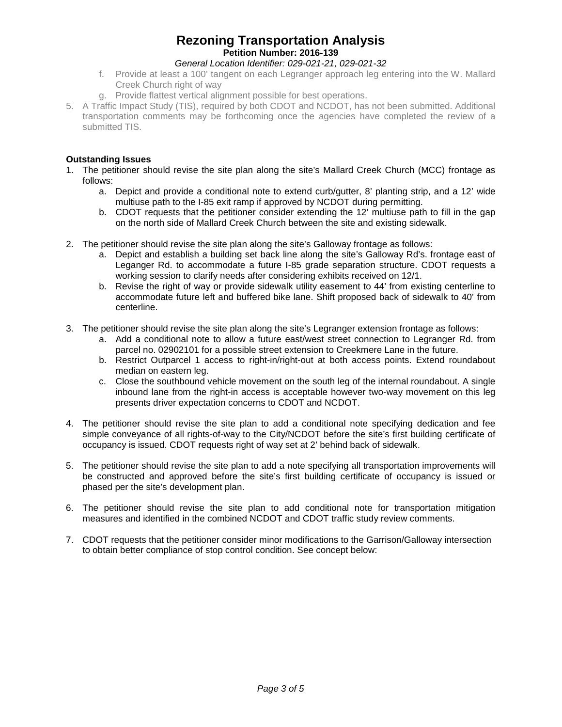## **Rezoning Transportation Analysis Petition Number: 2016-139**

## *General Location Identifier: 029-021-21, 029-021-32*

- f. Provide at least a 100' tangent on each Legranger approach leg entering into the W. Mallard Creek Church right of way
- g. Provide flattest vertical alignment possible for best operations.
- 5. A Traffic Impact Study (TIS), required by both CDOT and NCDOT, has not been submitted. Additional transportation comments may be forthcoming once the agencies have completed the review of a submitted TIS.

## **Outstanding Issues**

- 1. The petitioner should revise the site plan along the site's Mallard Creek Church (MCC) frontage as follows:
	- a. Depict and provide a conditional note to extend curb/gutter, 8' planting strip, and a 12' wide multiuse path to the I-85 exit ramp if approved by NCDOT during permitting.
	- b. CDOT requests that the petitioner consider extending the 12' multiuse path to fill in the gap on the north side of Mallard Creek Church between the site and existing sidewalk.
- 2. The petitioner should revise the site plan along the site's Galloway frontage as follows:
	- a. Depict and establish a building set back line along the site's Galloway Rd's. frontage east of Leganger Rd. to accommodate a future I-85 grade separation structure. CDOT requests a working session to clarify needs after considering exhibits received on 12/1.
	- b. Revise the right of way or provide sidewalk utility easement to 44' from existing centerline to accommodate future left and buffered bike lane. Shift proposed back of sidewalk to 40' from centerline.
- 3. The petitioner should revise the site plan along the site's Legranger extension frontage as follows:
	- a. Add a conditional note to allow a future east/west street connection to Legranger Rd. from parcel no. 02902101 for a possible street extension to Creekmere Lane in the future.
	- b. Restrict Outparcel 1 access to right-in/right-out at both access points. Extend roundabout median on eastern leg.
	- c. Close the southbound vehicle movement on the south leg of the internal roundabout. A single inbound lane from the right-in access is acceptable however two-way movement on this leg presents driver expectation concerns to CDOT and NCDOT.
- 4. The petitioner should revise the site plan to add a conditional note specifying dedication and fee simple conveyance of all rights-of-way to the City/NCDOT before the site's first building certificate of occupancy is issued. CDOT requests right of way set at 2' behind back of sidewalk.
- 5. The petitioner should revise the site plan to add a note specifying all transportation improvements will be constructed and approved before the site's first building certificate of occupancy is issued or phased per the site's development plan.
- 6. The petitioner should revise the site plan to add conditional note for transportation mitigation measures and identified in the combined NCDOT and CDOT traffic study review comments.
- 7. CDOT requests that the petitioner consider minor modifications to the Garrison/Galloway intersection to obtain better compliance of stop control condition. See concept below: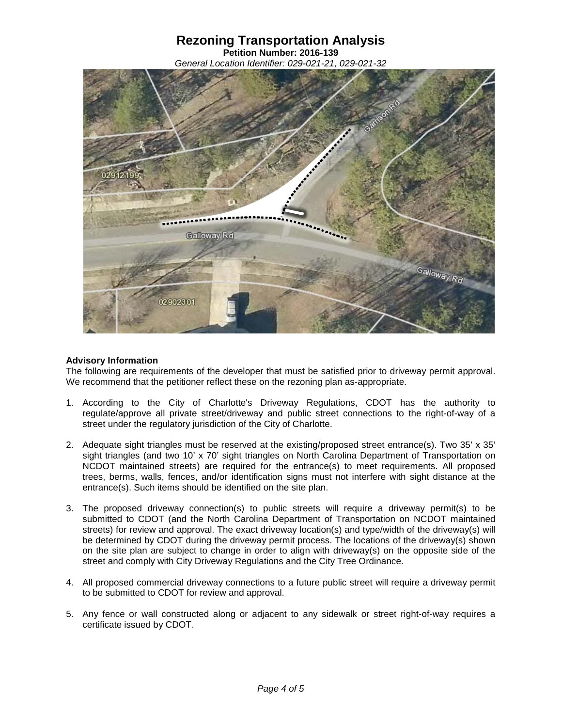**Petition Number: 2016-139** *General Location Identifier: 029-021-21, 029-021-32*



## **Advisory Information**

The following are requirements of the developer that must be satisfied prior to driveway permit approval. We recommend that the petitioner reflect these on the rezoning plan as-appropriate.

- 1. According to the City of Charlotte's Driveway Regulations, CDOT has the authority to regulate/approve all private street/driveway and public street connections to the right-of-way of a street under the regulatory jurisdiction of the City of Charlotte.
- 2. Adequate sight triangles must be reserved at the existing/proposed street entrance(s). Two 35' x 35' sight triangles (and two 10' x 70' sight triangles on North Carolina Department of Transportation on NCDOT maintained streets) are required for the entrance(s) to meet requirements. All proposed trees, berms, walls, fences, and/or identification signs must not interfere with sight distance at the entrance(s). Such items should be identified on the site plan.
- 3. The proposed driveway connection(s) to public streets will require a driveway permit(s) to be submitted to CDOT (and the North Carolina Department of Transportation on NCDOT maintained streets) for review and approval. The exact driveway location(s) and type/width of the driveway(s) will be determined by CDOT during the driveway permit process. The locations of the driveway(s) shown on the site plan are subject to change in order to align with driveway(s) on the opposite side of the street and comply with City Driveway Regulations and the City Tree Ordinance.
- 4. All proposed commercial driveway connections to a future public street will require a driveway permit to be submitted to CDOT for review and approval.
- 5. Any fence or wall constructed along or adjacent to any sidewalk or street right-of-way requires a certificate issued by CDOT.